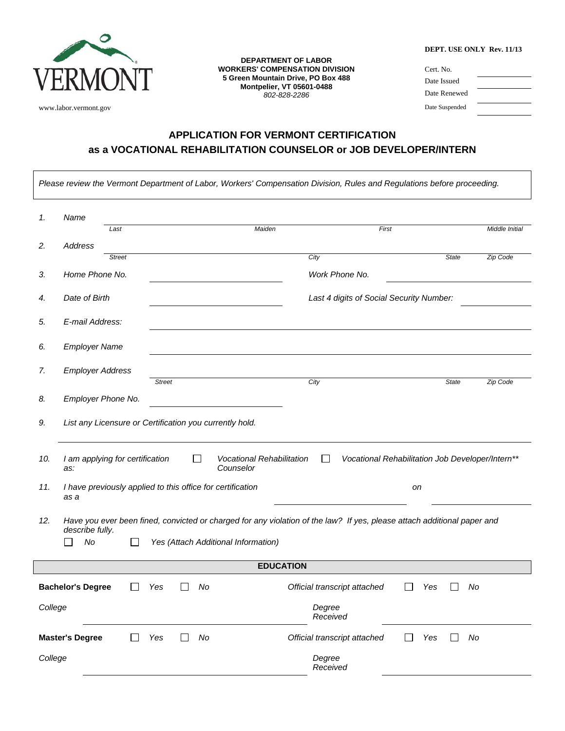

 $\Gamma$ 

**DEPARTMENT OF LABOR WORKERS' COMPENSATION DIVISION 5 Green Mountain Drive, PO Box 488 Montpelier, VT 05601-0488**  *802-828-2286* 

|  |  | <b>DEPT. USE ONLY Rev. 11/13</b> |  |  |
|--|--|----------------------------------|--|--|
|--|--|----------------------------------|--|--|

| VERMONT               | <b>WORKERS' COMPENSATION DIVISION</b><br>5 Green Mountain Drive, PO Box 488<br><b>Montpelier, VT 05601-0488</b><br>802-828-2286 | Cert. No.<br>Date Issued<br>Date Renewed |
|-----------------------|---------------------------------------------------------------------------------------------------------------------------------|------------------------------------------|
| www.labor.vermont.gov |                                                                                                                                 | Date Suspended                           |

## **APPLICATION FOR VERMONT CERTIFICATION as a VOCATIONAL REHABILITATION COUNSELOR or JOB DEVELOPER/INTERN**

|                                                                                                                                                   |                                                                          |               |               |  |    |                                               |      | Please review the Vermont Department of Labor, Workers' Compensation Division, Rules and Regulations before proceeding. |     |              |    |                |
|---------------------------------------------------------------------------------------------------------------------------------------------------|--------------------------------------------------------------------------|---------------|---------------|--|----|-----------------------------------------------|------|-------------------------------------------------------------------------------------------------------------------------|-----|--------------|----|----------------|
|                                                                                                                                                   | Name                                                                     |               |               |  |    |                                               |      |                                                                                                                         |     |              |    |                |
| 1.                                                                                                                                                |                                                                          | Last          |               |  |    | Maiden                                        |      | First                                                                                                                   |     |              |    | Middle Initial |
| 2.                                                                                                                                                | Address                                                                  |               |               |  |    |                                               |      |                                                                                                                         |     |              |    |                |
|                                                                                                                                                   |                                                                          | <b>Street</b> |               |  |    |                                               | City |                                                                                                                         |     | <b>State</b> |    | Zip Code       |
| 3.                                                                                                                                                | Home Phone No.                                                           |               |               |  |    |                                               |      | Work Phone No.                                                                                                          |     |              |    |                |
| 4.                                                                                                                                                | Date of Birth                                                            |               |               |  |    |                                               |      | Last 4 digits of Social Security Number:                                                                                |     |              |    |                |
| 5.                                                                                                                                                | E-mail Address:                                                          |               |               |  |    |                                               |      |                                                                                                                         |     |              |    |                |
| 6.                                                                                                                                                | <b>Employer Name</b>                                                     |               |               |  |    |                                               |      |                                                                                                                         |     |              |    |                |
| 7.                                                                                                                                                | <b>Employer Address</b>                                                  |               |               |  |    |                                               |      |                                                                                                                         |     |              |    |                |
| 8.                                                                                                                                                | Employer Phone No.                                                       |               | <b>Street</b> |  |    |                                               | City |                                                                                                                         |     | <b>State</b> |    | Zip Code       |
| 9.                                                                                                                                                | List any Licensure or Certification you currently hold.                  |               |               |  |    |                                               |      |                                                                                                                         |     |              |    |                |
|                                                                                                                                                   |                                                                          |               |               |  |    |                                               |      |                                                                                                                         |     |              |    |                |
| 10.                                                                                                                                               | I am applying for certification<br>as:                                   |               |               |  | П  | <b>Vocational Rehabilitation</b><br>Counselor |      | Vocational Rehabilitation Job Developer/Intern**                                                                        |     |              |    |                |
| 11.                                                                                                                                               | I have previously applied to this office for certification<br>on<br>as a |               |               |  |    |                                               |      |                                                                                                                         |     |              |    |                |
| Have you ever been fined, convicted or charged for any violation of the law? If yes, please attach additional paper and<br>12.<br>describe fully. |                                                                          |               |               |  |    |                                               |      |                                                                                                                         |     |              |    |                |
|                                                                                                                                                   | No                                                                       |               |               |  |    | Yes (Attach Additional Information)           |      |                                                                                                                         |     |              |    |                |
| <b>EDUCATION</b>                                                                                                                                  |                                                                          |               |               |  |    |                                               |      |                                                                                                                         |     |              |    |                |
|                                                                                                                                                   | <b>Bachelor's Degree</b>                                                 |               | Yes           |  | No |                                               |      | Official transcript attached                                                                                            | Yes |              | No |                |
| College                                                                                                                                           |                                                                          |               |               |  |    |                                               |      | Degree<br>Received                                                                                                      |     |              |    |                |
|                                                                                                                                                   | <b>Master's Degree</b>                                                   |               | Yes           |  | No |                                               |      | Official transcript attached                                                                                            | Yes |              | No |                |
| College                                                                                                                                           |                                                                          |               |               |  |    |                                               |      | Degree<br>Received                                                                                                      |     |              |    |                |